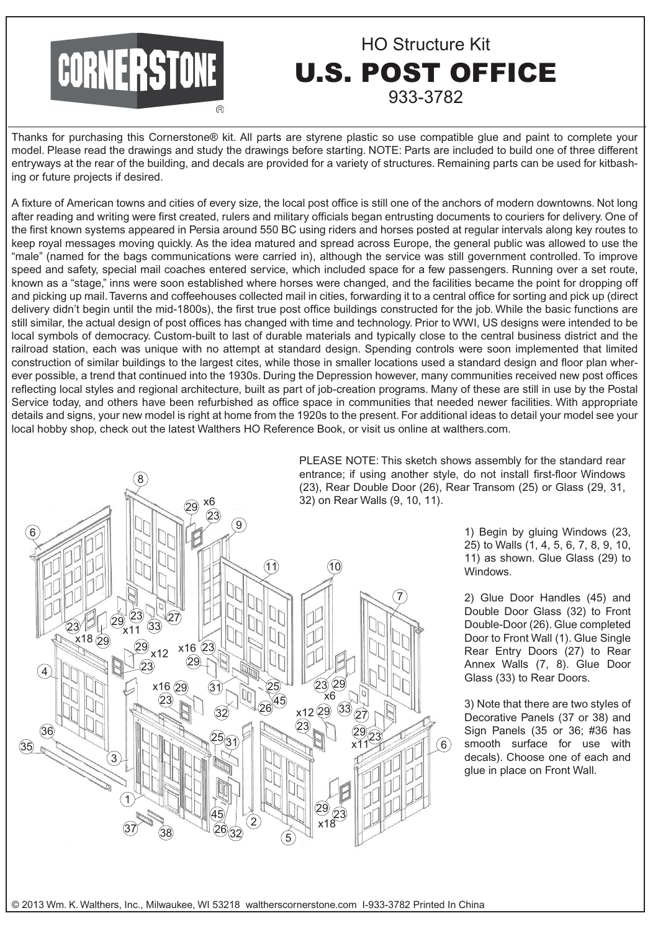# **CORNERSTONE**

# HO Structure Kit U.S. POST OFFICE 933-3782

Thanks for purchasing this Cornerstone® kit. All parts are styrene plastic so use compatible glue and paint to complete your model. Please read the drawings and study the drawings before starting. NOTE: Parts are included to build one of three different entryways at the rear of the building, and decals are provided for a variety of structures. Remaining parts can be used for kitbashing or future projects if desired.

A fixture of American towns and cities of every size, the local post office is still one of the anchors of modern downtowns. Not long after reading and writing were first created, rulers and military officials began entrusting documents to couriers for delivery. One of the first known systems appeared in Persia around 550 BC using riders and horses posted at regular intervals along key routes to keep royal messages moving quickly. As the idea matured and spread across Europe, the general public was allowed to use the "male" (named for the bags communications were carried in), although the service was still government controlled. To improve speed and safety, special mail coaches entered service, which included space for a few passengers. Running over a set route, known as a "stage," inns were soon established where horses were changed, and the facilities became the point for dropping off and picking up mail. Taverns and coffeehouses collected mail in cities, forwarding it to a central office for sorting and pick up (direct delivery didn't begin until the mid-1800s), the first true post office buildings constructed for the job. While the basic functions are still similar, the actual design of post offices has changed with time and technology. Prior to WWI, US designs were intended to be local symbols of democracy. Custom-built to last of durable materials and typically close to the central business district and the railroad station, each was unique with no attempt at standard design. Spending controls were soon implemented that limited construction of similar buildings to the largest cites, while those in smaller locations used a standard design and floor plan wherever possible, a trend that continued into the 1930s. During the Depression however, many communities received new post offices reflecting local styles and regional architecture, built as part of job-creation programs. Many of these are still in use by the Postal Service today, and others have been refurbished as office space in communities that needed newer facilities. With appropriate details and signs, your new model is right at home from the 1920s to the present. For additional ideas to detail your model see your local hobby shop, check out the latest Walthers HO Reference Book, or visit us online at walthers.com.



PLEASE NOTE: This sketch shows assembly for the standard rear entrance; if using another style, do not install first-floor Windows (23), Rear Double Door (26), Rear Transom (25) or Glass (29, 31,

> 1) Begin by gluing Windows (23, 25) to Walls (1, 4, 5, 6, 7, 8, 9, 10, 11) as shown. Glue Glass (29) to Windows.

> 2) Glue Door Handles (45) and Double Door Glass (32) to Front Double-Door (26). Glue completed Door to Front Wall (1). Glue Single Rear Entry Doors (27) to Rear Annex Walls (7, 8). Glue Door Glass (33) to Rear Doors.

> 3) Note that there are two styles of Decorative Panels (37 or 38) and Sign Panels (35 or 36; #36 has smooth surface for use with decals). Choose one of each and glue in place on Front Wall.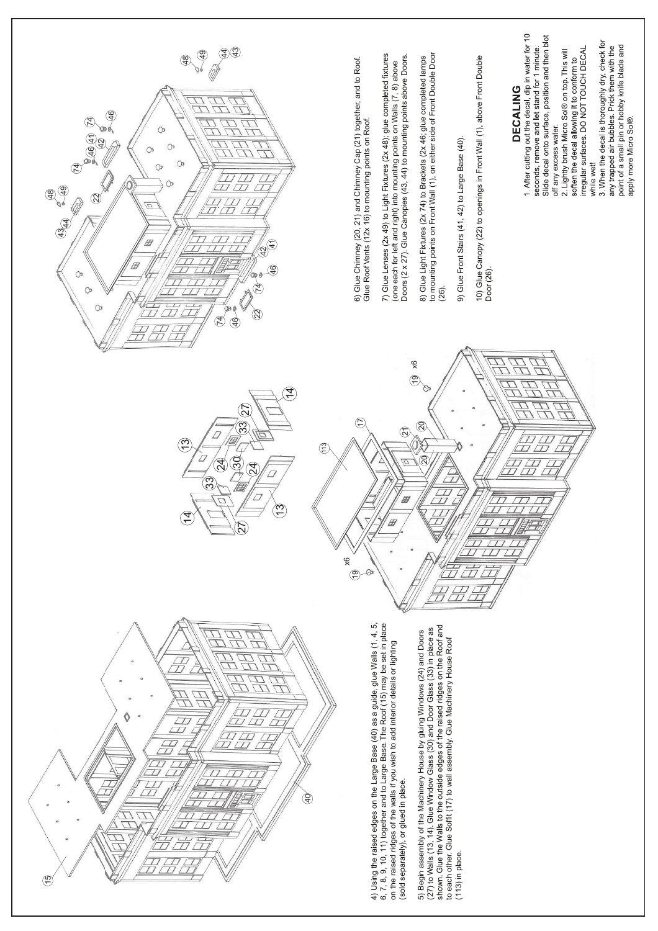

point of a small pin or hobby knife blade and

apply more Micro Sol®

any trapped air bubbles. Prick them with the